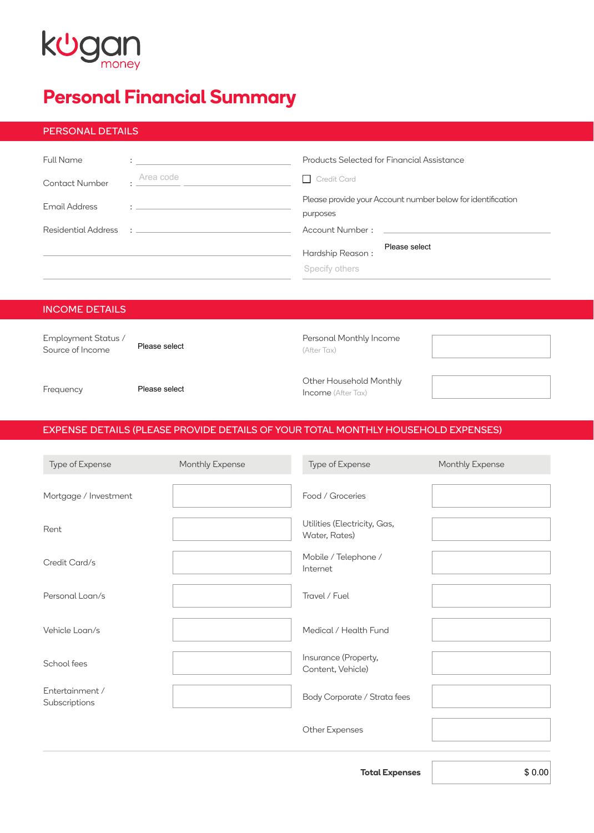# kugan

## **Personal Financial Summary**

#### PERSONAL DETAILS

| <b>Full Name</b> |                                                                      | Products Selected for Financial Assistance                              |
|------------------|----------------------------------------------------------------------|-------------------------------------------------------------------------|
| Contact Number   | Area code                                                            | $\Box$ Credit Card                                                      |
| Email Address    | the control of the control of the control of the control of the con- | Please provide your Account number below for identification<br>purposes |
|                  |                                                                      |                                                                         |
|                  |                                                                      | Please select<br>Hardship Reason:<br>Specify others                     |

### INCOME DETAILS

| Employment Status /<br>Source of Income | Please select | Personal Monthly Income<br>(After Tax)               |  |
|-----------------------------------------|---------------|------------------------------------------------------|--|
| Frequency                               | Please select | Other Household Monthly<br><b>Income</b> (After Tax) |  |

### EXPENSE DETAILS (PLEASE PROVIDE DETAILS OF YOUR TOTAL MONTHLY HOUSEHOLD EXPENSES)

| Type of Expense                  | Monthly Expense | Type of Expense                               | Monthly Expense |
|----------------------------------|-----------------|-----------------------------------------------|-----------------|
| Mortgage / Investment            |                 | Food / Groceries                              |                 |
| Rent                             |                 | Utilities (Electricity, Gas,<br>Water, Rates) |                 |
| Credit Card/s                    |                 | Mobile / Telephone /<br>Internet              |                 |
| Personal Loan/s                  |                 | Travel / Fuel                                 |                 |
| Vehicle Loan/s                   |                 | Medical / Health Fund                         |                 |
| School fees                      |                 | Insurance (Property,<br>Content, Vehicle)     |                 |
| Entertainment /<br>Subscriptions |                 | Body Corporate / Strata fees                  |                 |
|                                  |                 | Other Expenses                                |                 |

**Total Expenses**